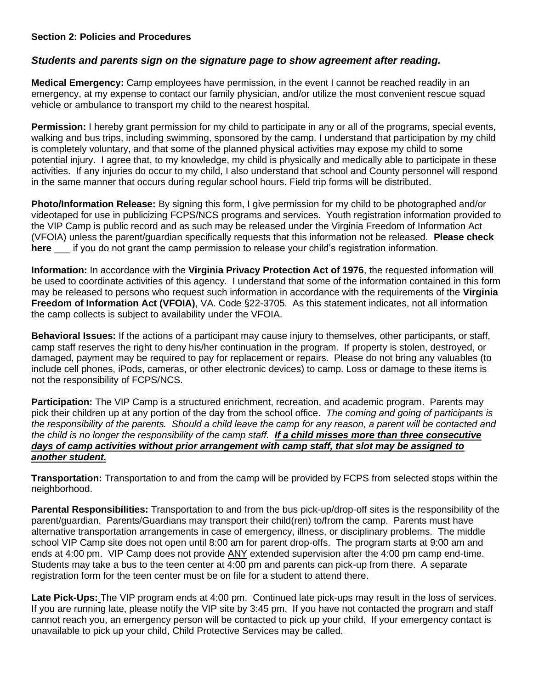#### **Section 2: Policies and Procedures**

## *Students and parents sign on the signature page to show agreement after reading.*

**Medical Emergency:** Camp employees have permission, in the event I cannot be reached readily in an emergency, at my expense to contact our family physician, and/or utilize the most convenient rescue squad vehicle or ambulance to transport my child to the nearest hospital.

**Permission:** I hereby grant permission for my child to participate in any or all of the programs, special events, walking and bus trips, including swimming, sponsored by the camp. I understand that participation by my child is completely voluntary, and that some of the planned physical activities may expose my child to some potential injury. I agree that, to my knowledge, my child is physically and medically able to participate in these activities. If any injuries do occur to my child, I also understand that school and County personnel will respond in the same manner that occurs during regular school hours. Field trip forms will be distributed.

**Photo/Information Release:** By signing this form, I give permission for my child to be photographed and/or videotaped for use in publicizing FCPS/NCS programs and services. Youth registration information provided to the VIP Camp is public record and as such may be released under the Virginia Freedom of Information Act (VFOIA) unless the parent/guardian specifically requests that this information not be released. **Please check here** \_\_\_ if you do not grant the camp permission to release your child's registration information.

**Information:** In accordance with the **Virginia Privacy Protection Act of 1976**, the requested information will be used to coordinate activities of this agency. I understand that some of the information contained in this form may be released to persons who request such information in accordance with the requirements of the **Virginia Freedom of Information Act (VFOIA)**, VA. Code §22-3705. As this statement indicates, not all information the camp collects is subject to availability under the VFOIA.

**Behavioral Issues:** If the actions of a participant may cause injury to themselves, other participants, or staff, camp staff reserves the right to deny his/her continuation in the program. If property is stolen, destroyed, or damaged, payment may be required to pay for replacement or repairs. Please do not bring any valuables (to include cell phones, iPods, cameras, or other electronic devices) to camp. Loss or damage to these items is not the responsibility of FCPS/NCS.

**Participation:** The VIP Camp is a structured enrichment, recreation, and academic program. Parents may pick their children up at any portion of the day from the school office. *The coming and going of participants is the responsibility of the parents. Should a child leave the camp for any reason, a parent will be contacted and the child is no longer the responsibility of the camp staff. If a child misses more than three consecutive days of camp activities without prior arrangement with camp staff, that slot may be assigned to another student.*

**Transportation:** Transportation to and from the camp will be provided by FCPS from selected stops within the neighborhood.

**Parental Responsibilities:** Transportation to and from the bus pick-up/drop-off sites is the responsibility of the parent/guardian. Parents/Guardians may transport their child(ren) to/from the camp. Parents must have alternative transportation arrangements in case of emergency, illness, or disciplinary problems. The middle school VIP Camp site does not open until 8:00 am for parent drop-offs. The program starts at 9:00 am and ends at 4:00 pm. VIP Camp does not provide ANY extended supervision after the 4:00 pm camp end-time. Students may take a bus to the teen center at 4:00 pm and parents can pick-up from there. A separate registration form for the teen center must be on file for a student to attend there.

**Late Pick-Ups:** The VIP program ends at 4:00 pm. Continued late pick-ups may result in the loss of services. If you are running late, please notify the VIP site by 3:45 pm. If you have not contacted the program and staff cannot reach you, an emergency person will be contacted to pick up your child. If your emergency contact is unavailable to pick up your child, Child Protective Services may be called.